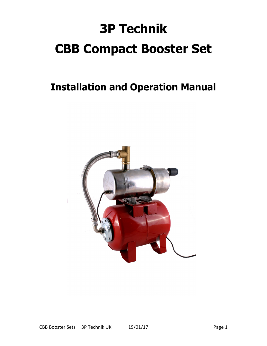# **3P Technik CBB Compact Booster Set**

# **Installation and Operation Manual**

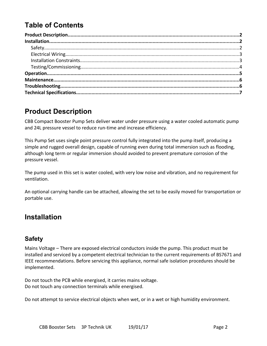# **Table of Contents**

# **Product Description**

CBB Compact Booster Pump Sets deliver water under pressure using a water cooled automatic pump and 24L pressure vessel to reduce run-time and increase efficiency.

This Pump Set uses single point pressure control fully integrated into the pump itself, producing a simple and rugged overall design, capable of running even during total immersion such as flooding, although long term or regular immersion should avoided to prevent premature corrosion of the pressure vessel.

The pump used in this set is water cooled, with very low noise and vibration, and no requirement for ventilation.

An optional carrying handle can be attached, allowing the set to be easily moved for transportation or portable use.

### **Installation**

#### **Safety**

Mains Voltage – There are exposed electrical conductors inside the pump. This product must be installed and serviced by a competent electrical technician to the current requirements of BS7671 and IEEE recommendations. Before servicing this appliance, normal safe isolation procedures should be implemented.

Do not touch the PCB while energised, it carries mains voltage. Do not touch any connection terminals while energised.

Do not attempt to service electrical objects when wet, or in a wet or high humidity environment.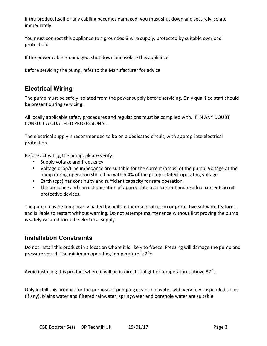If the product itself or any cabling becomes damaged, you must shut down and securely isolate immediately.

You must connect this appliance to a grounded 3 wire supply, protected by suitable overload protection.

If the power cable is damaged, shut down and isolate this appliance.

Before servicing the pump, refer to the Manufacturer for advice.

#### **Electrical Wiring**

The pump must be safely isolated from the power supply before servicing. Only qualified staff should be present during servicing.

All locally applicable safety procedures and regulations must be complied with. IF IN ANY DOUBT CONSULT A QUALIFIED PROFESSIONAL.

The electrical supply is recommended to be on a dedicated circuit, with appropriate electrical protection.

Before activating the pump, please verify:

- Supply voltage and frequency
- Voltage drop/Line impedance are suitable for the current (amps) of the pump. Voltage at the pump during operation should be within 4% of the pumps stated operating voltage.
- Earth (cpc) has continuity and sufficient capacity for safe operation.
- The presence and correct operation of appropriate over-current and residual current circuit protective devices.

The pump may be temporarily halted by built-in thermal protection or protective software features, and is liable to restart without warning. Do not attempt maintenance without first proving the pump is safely isolated form the electrical supply.

#### **Installation Constraints**

Do not install this product in a location where it is likely to freeze. Freezing will damage the pump and pressure vessel. The minimum operating temperature is  $2^{\circ}$ c.

Avoid installing this product where it will be in direct sunlight or temperatures above 37 $^{\circ}$ c.

Only install this product for the purpose of pumping clean cold water with very few suspended solids (if any). Mains water and filtered rainwater, springwater and borehole water are suitable.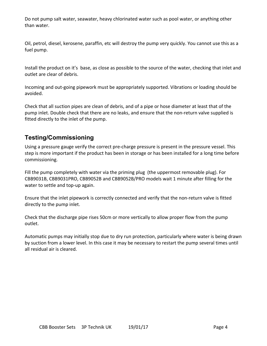Do not pump salt water, seawater, heavy chlorinated water such as pool water, or anything other than water.

Oil, petrol, diesel, kerosene, paraffin, etc will destroy the pump very quickly. You cannot use this as a fuel pump.

Install the product on it's base, as close as possible to the source of the water, checking that inlet and outlet are clear of debris.

Incoming and out-going pipework must be appropriately supported. Vibrations or loading should be avoided.

Check that all suction pipes are clean of debris, and of a pipe or hose diameter at least that of the pump inlet. Double check that there are no leaks, and ensure that the non-return valve supplied is fitted directly to the inlet of the pump.

#### **Testing/Commissioning**

Using a pressure gauge verify the correct pre-charge pressure is present in the pressure vessel. This step is more important if the product has been in storage or has been installed for a long time before commissioning.

Fill the pump completely with water via the priming plug (the uppermost removable plug). For CBB9031B, CBB9031PRO, CBB9052B and CBB9052B/PRO models wait 1 minute after filling for the water to settle and top-up again.

Ensure that the inlet pipework is correctly connected and verify that the non-return valve is fitted directly to the pump inlet.

Check that the discharge pipe rises 50cm or more vertically to allow proper flow from the pump outlet.

Automatic pumps may initially stop due to dry run protection, particularly where water is being drawn by suction from a lower level. In this case it may be necessary to restart the pump several times until all residual air is cleared.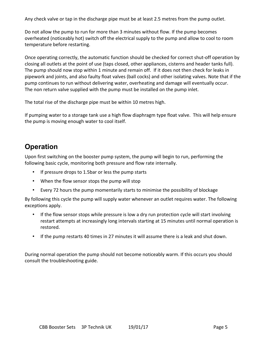Any check valve or tap in the discharge pipe must be at least 2.5 metres from the pump outlet.

Do not allow the pump to run for more than 3 minutes without flow. If the pump becomes overheated (noticeably hot) switch off the electrical supply to the pump and allow to cool to room temperature before restarting.

Once operating correctly, the automatic function should be checked for correct shut-off operation by closing all outlets at the point of use (taps closed, other appliances, cisterns and header tanks full). The pump should now stop within 1 minute and remain off. If it does not then check for leaks in pipework and joints, and also faulty float valves (ball cocks) and other isolating valves. Note that if the pump continues to run without delivering water, overheating and damage will eventually occur. The non return valve supplied with the pump must be installed on the pump inlet.

The total rise of the discharge pipe must be within 10 metres high.

If pumping water to a storage tank use a high flow diaphragm type float valve. This will help ensure the pump is moving enough water to cool itself.

# **Operation**

Upon first switching on the booster pump system, the pump will begin to run, performing the following basic cycle, monitoring both pressure and flow rate internally.

- If pressure drops to 1.5bar or less the pump starts
- When the flow sensor stops the pump will stop
- Every 72 hours the pump momentarily starts to minimise the possibility of blockage

By following this cycle the pump will supply water whenever an outlet requires water. The following exceptions apply.

- If the flow sensor stops while pressure is low a dry run protection cycle will start involving restart attempts at increasingly long intervals starting at 15 minutes until normal operation is restored.
- If the pump restarts 40 times in 27 minutes it will assume there is a leak and shut down.

During normal operation the pump should not become noticeably warm. If this occurs you should consult the troubleshooting guide.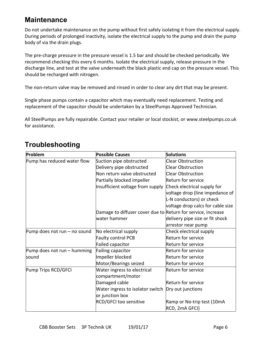# **Maintenance**

Do not undertake maintenance on the pump without first safely isolating it from the electrical supply. During periods of prolonged inactivity, isolate the electrical supply to the pump and drain the pump body of via the drain plugs.

The pre-charge pressure in the pressure vessel is 1.5 bar and should be checked periodically. We recommend checking this every 6 months. Isolate the electrical supply, release pressure in the discharge line, and test at the valve underneath the black plastic end cap on the pressure vessel. This should be recharged with nitrogen.

The non-return valve may be removed and rinsed in order to clear any dirt that may be present.

Single phase pumps contain a capacitor which may eventually need replacement. Testing and replacement of the capacitor should be undertaken by a SteelPumps Approved Technician.

All SteelPumps are fully repairable. Contact your retailer or local stockist, or www.steelpumps.co.uk for assistance.

| Problem                      | <b>Possible Causes</b>                                       | <b>Solutions</b>                  |  |  |
|------------------------------|--------------------------------------------------------------|-----------------------------------|--|--|
| Pump has reduced water flow  | Suction pipe obstructed                                      | <b>Clear Obstruction</b>          |  |  |
|                              | Delivery pipe obstructed                                     | <b>Clear Obstruction</b>          |  |  |
|                              | Non return valve obstructed                                  | <b>Clear Obstruction</b>          |  |  |
|                              | Partially blocked impeller                                   | <b>Return for service</b>         |  |  |
|                              | Insufficient voltage from supply                             | Check electrical supply for       |  |  |
|                              |                                                              | voltage drop (line impedance of   |  |  |
|                              |                                                              | L-N conductors) or check          |  |  |
|                              |                                                              | voltage drop calcs for cable size |  |  |
|                              | Damage to diffuser cover due to Return for service, increase |                                   |  |  |
|                              | water hammer                                                 | delivery pipe size or fit shock   |  |  |
|                              |                                                              | arrestor near pump                |  |  |
| Pump does not run - no sound | No electrical supply                                         | Check electrical supply           |  |  |
|                              | Faulty control PCB                                           | Return for service                |  |  |
|                              | Failed capacitor                                             | Return for service                |  |  |
| Pump does not run – humming  | Failing capacitor                                            | Return for service                |  |  |
| sound                        | Impeller blocked                                             | Return for service                |  |  |
|                              | Motor/Bearings seized                                        | Return for service                |  |  |
| Pump Trips RCD/GFCI          | Water ingress to electrical                                  | Return for service                |  |  |
|                              | compartment/motor                                            |                                   |  |  |
|                              | Damaged cable                                                | Return for service                |  |  |
|                              | Water ingress to isolator switch                             | Dry out junctions                 |  |  |
|                              | or junction box                                              |                                   |  |  |
|                              | RCD/GFCI too sensitive<br>Ramp or No-trip test (10mA         |                                   |  |  |
|                              |                                                              | RCD, 2mA GFCI)                    |  |  |

# **Troubleshooting**